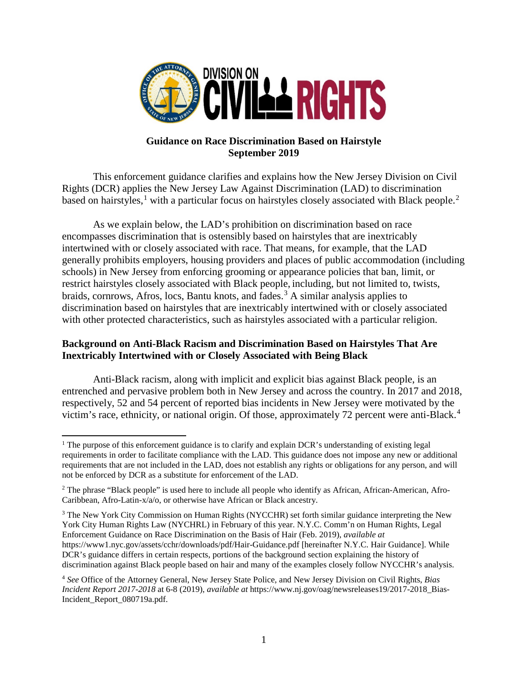

## **Guidance on Race Discrimination Based on Hairstyle September 2019**

This enforcement guidance clarifies and explains how the New Jersey Division on Civil Rights (DCR) applies the New Jersey Law Against Discrimination (LAD) to discrimination based on hairstyles,<sup>[1](#page-0-0)</sup> with a particular focus on hairstyles closely associated with Black people.<sup>[2](#page-0-1)</sup>

As we explain below, the LAD's prohibition on discrimination based on race encompasses discrimination that is ostensibly based on hairstyles that are inextricably intertwined with or closely associated with race. That means, for example, that the LAD generally prohibits employers, housing providers and places of public accommodation (including schools) in New Jersey from enforcing grooming or appearance policies that ban, limit, or restrict hairstyles closely associated with Black people, including, but not limited to, twists, braids, cornrows, Afros, locs, Bantu knots, and fades.<sup>[3](#page-0-2)</sup> A similar analysis applies to discrimination based on hairstyles that are inextricably intertwined with or closely associated with other protected characteristics, such as hairstyles associated with a particular religion.

## **Background on Anti-Black Racism and Discrimination Based on Hairstyles That Are Inextricably Intertwined with or Closely Associated with Being Black**

Anti-Black racism, along with implicit and explicit bias against Black people, is an entrenched and pervasive problem both in New Jersey and across the country. In 2017 and 2018, respectively, 52 and 54 percent of reported bias incidents in New Jersey were motivated by the victim's race, ethnicity, or national origin. Of those, approximately 72 percent were anti-Black.<sup>[4](#page-0-3)</sup>

<span id="page-0-0"></span> $\overline{a}$ <sup>1</sup> The purpose of this enforcement guidance is to clarify and explain DCR's understanding of existing legal requirements in order to facilitate compliance with the LAD. This guidance does not impose any new or additional requirements that are not included in the LAD, does not establish any rights or obligations for any person, and will not be enforced by DCR as a substitute for enforcement of the LAD.

<span id="page-0-1"></span><sup>&</sup>lt;sup>2</sup> The phrase "Black people" is used here to include all people who identify as African, African-American, Afro-Caribbean, Afro-Latin-x/a/o, or otherwise have African or Black ancestry.

<span id="page-0-2"></span><sup>3</sup> The New York City Commission on Human Rights (NYCCHR) set forth similar guidance interpreting the New York City Human Rights Law (NYCHRL) in February of this year. N.Y.C. Comm'n on Human Rights, Legal Enforcement Guidance on Race Discrimination on the Basis of Hair (Feb. 2019), *available at* https://www1.nyc.gov/assets/cchr/downloads/pdf/Hair-Guidance.pdf [hereinafter N.Y.C. Hair Guidance]. While DCR's guidance differs in certain respects, portions of the background section explaining the history of discrimination against Black people based on hair and many of the examples closely follow NYCCHR's analysis.

<span id="page-0-3"></span><sup>4</sup> *See* Office of the Attorney General, New Jersey State Police, and New Jersey Division on Civil Rights, *Bias Incident Report 2017-2018* at 6-8 (2019), *available at* https://www.nj.gov/oag/newsreleases19/2017-2018\_Bias-Incident\_Report\_080719a.pdf.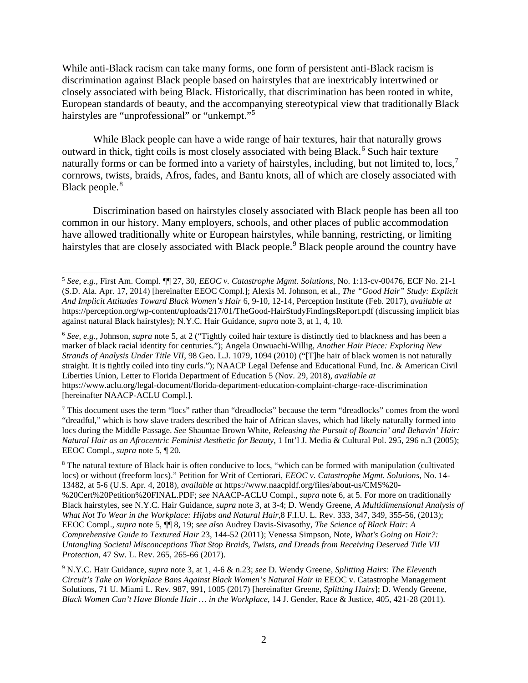While anti-Black racism can take many forms, one form of persistent anti-Black racism is discrimination against Black people based on hairstyles that are inextricably intertwined or closely associated with being Black. Historically, that discrimination has been rooted in white, European standards of beauty, and the accompanying stereotypical view that traditionally Black hairstyles are "unprofessional" or "unkempt."<sup>[5](#page-1-0)</sup>

While Black people can have a wide range of hair textures, hair that naturally grows outward in thick, tight coils is most closely associated with being Black.<sup>[6](#page-1-1)</sup> Such hair texture naturally forms or can be formed into a variety of hairstyles, including, but not limited to, locs,<sup>[7](#page-1-2)</sup> cornrows, twists, braids, Afros, fades, and Bantu knots, all of which are closely associated with Black people. [8](#page-1-3)

Discrimination based on hairstyles closely associated with Black people has been all too common in our history. Many employers, schools, and other places of public accommodation have allowed traditionally white or European hairstyles, while banning, restricting, or limiting hairstyles that are closely associated with Black people.<sup>[9](#page-1-4)</sup> Black people around the country have

<span id="page-1-2"></span><sup>7</sup> This document uses the term "locs" rather than "dreadlocks" because the term "dreadlocks" comes from the word "dreadful," which is how slave traders described the hair of African slaves, which had likely naturally formed into locs during the Middle Passage. *See* Shauntae Brown White, *Releasing the Pursuit of Bouncin' and Behavin' Hair: Natural Hair as an Afrocentric Feminist Aesthetic for Beauty*, 1 Int'l J. Media & Cultural Pol. 295, 296 n.3 (2005); EEOC Compl., *supra* note 5, ¶ 20.

<span id="page-1-3"></span><sup>8</sup> The natural texture of Black hair is often conducive to locs, "which can be formed with manipulation (cultivated locs) or without (freeform locs)." Petition for Writ of Certiorari, *EEOC v. Catastrophe Mgmt. Solutions*, No. 14- 13482, at 5-6 (U.S. Apr. 4, 2018), *available at* https://www.naacpldf.org/files/about-us/CMS%20- %20Cert%20Petition%20FINAL.PDF; *see* NAACP-ACLU Compl., *supra* note 6, at 5. For more on traditionally Black hairstyles, see N.Y.C. Hair Guidance, *supra* note 3, at 3-4; D. Wendy Greene, *A Multidimensional Analysis of What Not To Wear in the Workplace: Hijabs and Natural Hair*,8 F.I.U. L. Rev. 333, 347, 349, 355-56, (2013); EEOC Compl., *supra* note 5, ¶¶ 8, 19; *see also* Audrey Davis-Sivasothy, *The Science of Black Hair: A Comprehensive Guide to Textured Hair* 23, 144-52 (2011); Venessa Simpson, Note, *What's Going on Hair?: Untangling Societal Misconceptions That Stop Braids, Twists, and Dreads from Receiving Deserved Title VII Protection*, 47 Sw. L. Rev. 265, 265-66 (2017).

<span id="page-1-4"></span><sup>9</sup> N.Y.C. Hair Guidance, *supra* note 3, at 1, 4-6 & n.23; *see* D. Wendy Greene, *Splitting Hairs: The Eleventh Circuit's Take on Workplace Bans Against Black Women's Natural Hair in* EEOC v. Catastrophe Management Solutions, 71 U. Miami L. Rev. 987, 991, 1005 (2017) [hereinafter Greene, *Splitting Hairs*]; D. Wendy Greene, *Black Women Can't Have Blonde Hair … in the Workplace*, 14 J. Gender, Race & Justice, 405, 421-28 (2011).

<span id="page-1-0"></span><sup>5</sup> *See, e.g.,* First Am. Compl. ¶¶ 27, 30, *EEOC v. Catastrophe Mgmt. Solutions*, No. 1:13-cv-00476, ECF No. 21-1 (S.D. Ala. Apr. 17, 2014) [hereinafter EEOC Compl.]; Alexis M. Johnson, et al., *The "Good Hair" Study: Explicit And Implicit Attitudes Toward Black Women's Hair* 6, 9-10, 12-14, Perception Institute (Feb. 2017), *available at*  https://perception.org/wp-content/uploads/217/01/TheGood-HairStudyFindingsReport.pdf (discussing implicit bias against natural Black hairstyles); N.Y.C. Hair Guidance, *supra* note 3, at 1, 4, 10.

<span id="page-1-1"></span><sup>6</sup> *See, e.g.*, Johnson, *supra* note 5, at 2 ("Tightly coiled hair texture is distinctly tied to blackness and has been a marker of black racial identity for centuries."); Angela Onwuachi-Willig, *Another Hair Piece: Exploring New Strands of Analysis Under Title VII*, 98 Geo. L.J. 1079, 1094 (2010) ("[T]he hair of black women is not naturally straight. It is tightly coiled into tiny curls."); NAACP Legal Defense and Educational Fund, Inc. & American Civil Liberties Union, Letter to Florida Department of Education 5 (Nov. 29, 2018), *available at* https://www.aclu.org/legal-document/florida-department-education-complaint-charge-race-discrimination [hereinafter NAACP-ACLU Compl.].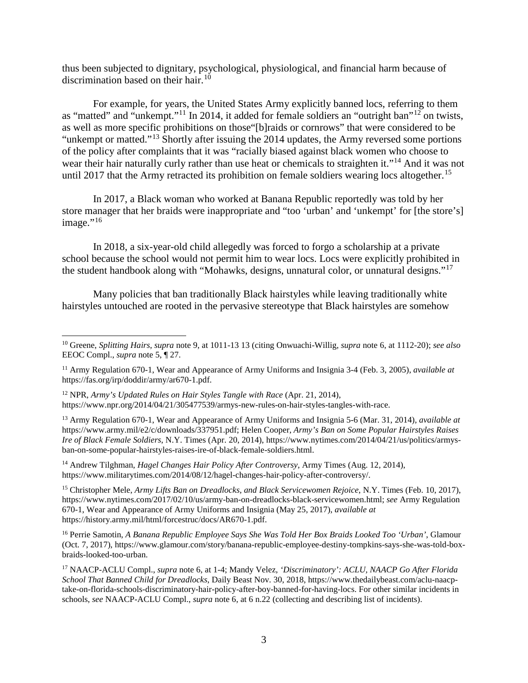thus been subjected to dignitary, psychological, physiological, and financial harm because of discrimination based on their hair.<sup>[10](#page-2-0)</sup>

For example, for years, the United States Army explicitly banned locs, referring to them as "matted" and "unkempt."<sup>[11](#page-2-1)</sup> In 2014, it added for female soldiers an "outright ban"<sup>[12](#page-2-2)</sup> on twists, as well as more specific prohibitions on those"[b]raids or cornrows" that were considered to be "unkempt or matted."<sup>[13](#page-2-3)</sup> Shortly after issuing the 2014 updates, the Army reversed some portions of the policy after complaints that it was "racially biased against black women who choose to wear their hair naturally curly rather than use heat or chemicals to straighten it."<sup>[14](#page-2-4)</sup> And it was not until 2017 that the Army retracted its prohibition on female soldiers wearing locs altogether.<sup>[15](#page-2-5)</sup>

In 2017, a Black woman who worked at Banana Republic reportedly was told by her store manager that her braids were inappropriate and "too 'urban' and 'unkempt' for [the store's] image." $16$ 

In 2018, a six-year-old child allegedly was forced to forgo a scholarship at a private school because the school would not permit him to wear locs. Locs were explicitly prohibited in the student handbook along with "Mohawks, designs, unnatural color, or unnatural designs."[17](#page-2-7)

Many policies that ban traditionally Black hairstyles while leaving traditionally white hairstyles untouched are rooted in the pervasive stereotype that Black hairstyles are somehow

 $\overline{a}$ 

<span id="page-2-4"></span><sup>14</sup> Andrew Tilghman, *Hagel Changes Hair Policy After Controversy*, Army Times (Aug. 12, 2014), https:/[/www.militarytimes.com/2014/08/12/hagel-changes-hair-policy-after-controversy/.](http://www.militarytimes.com/2014/08/12/hagel-changes-hair-policy-after-controversy/)

<span id="page-2-5"></span><sup>15</sup> Christopher Mele, *Army Lifts Ban on Dreadlocks, and Black Servicewomen Rejoice*, N.Y. Times (Feb. 10, 2017), https://www.nytimes.com/2017/02/10/us/army-ban-on-dreadlocks-black-servicewomen.html; *see* Army Regulation 670-1, Wear and Appearance of Army Uniforms and Insignia (May 25, 2017), *available at* https://history.army.mil/html/forcestruc/docs/AR670-1.pdf.

<span id="page-2-6"></span><sup>16</sup> Perrie Samotin, *A Banana Republic Employee Says She Was Told Her Box Braids Looked Too 'Urban'*, Glamour (Oct. 7, 2017), https://www.glamour.com/story/banana-republic-employee-destiny-tompkins-says-she-was-told-boxbraids-looked-too-urban.

<span id="page-2-0"></span><sup>10</sup> Greene, *Splitting Hairs*, *supra* note 9, at 1011-13 13 (citing Onwuachi-Willig, *supra* note 6, at 1112-20); *see also* EEOC Compl., *supra* note 5, ¶ 27.

<span id="page-2-1"></span><sup>11</sup> Army Regulation 670-1, Wear and Appearance of Army Uniforms and Insignia 3-4 (Feb. 3, 2005), *available at* https://fas.org/irp/doddir/army/ar670-1.pdf.

<span id="page-2-2"></span><sup>12</sup> NPR, *Army's Updated Rules on Hair Styles Tangle with Race* (Apr. 21, 2014), https://www.npr.org/2014/04/21/305477539/armys-new-rules-on-hair-styles-tangles-with-race.

<span id="page-2-3"></span><sup>13</sup> Army Regulation 670-1, Wear and Appearance of Army Uniforms and Insignia 5-6 (Mar. 31, 2014), *available at* https://www.army.mil/e2/c/downloads/337951.pdf; Helen Cooper, *Army's Ban on Some Popular Hairstyles Raises Ire of Black Female Soldiers*, N.Y. Times (Apr. 20, 2014), https://www.nytimes.com/2014/04/21/us/politics/armysban-on-some-popular-hairstyles-raises-ire-of-black-female-soldiers.html.

<span id="page-2-7"></span><sup>17</sup> NAACP-ACLU Compl., *supra* note 6, at 1-4; Mandy Velez*, 'Discriminatory': ACLU, NAACP Go After Florida School That Banned Child for Dreadlocks*, Daily Beast Nov. 30, 2018, https://www.thedailybeast.com/aclu-naacptake-on-florida-schools-discriminatory-hair-policy-after-boy-banned-for-having-locs. For other similar incidents in schools, *see* NAACP-ACLU Compl., *supra* note 6, at 6 n.22 (collecting and describing list of incidents).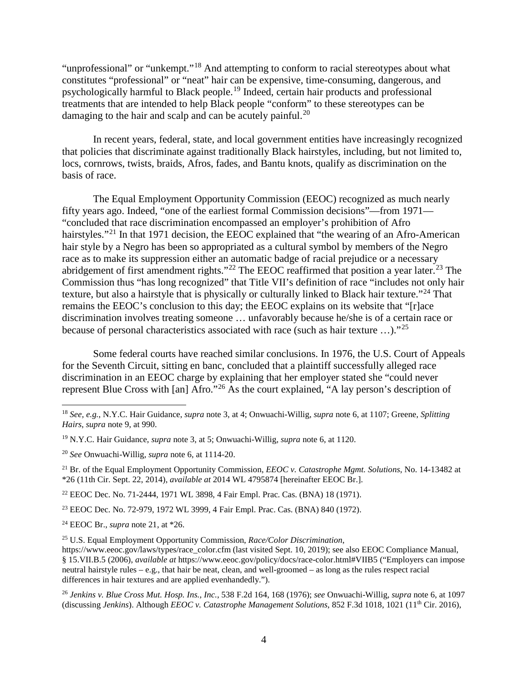"unprofessional" or "unkempt."<sup>[18](#page-3-0)</sup> And attempting to conform to racial stereotypes about what constitutes "professional" or "neat" hair can be expensive, time-consuming, dangerous, and psychologically harmful to Black people.[19](#page-3-1) Indeed, certain hair products and professional treatments that are intended to help Black people "conform" to these stereotypes can be damaging to the hair and scalp and can be acutely painful.<sup>[20](#page-3-2)</sup>

In recent years, federal, state, and local government entities have increasingly recognized that policies that discriminate against traditionally Black hairstyles, including, but not limited to, locs, cornrows, twists, braids, Afros, fades, and Bantu knots, qualify as discrimination on the basis of race.

The Equal Employment Opportunity Commission (EEOC) recognized as much nearly fifty years ago. Indeed, "one of the earliest formal Commission decisions"—from 1971— "concluded that race discrimination encompassed an employer's prohibition of Afro hairstyles."<sup>[21](#page-3-3)</sup> In that 1971 decision, the EEOC explained that "the wearing of an Afro-American" hair style by a Negro has been so appropriated as a cultural symbol by members of the Negro race as to make its suppression either an automatic badge of racial prejudice or a necessary abridgement of first amendment rights."<sup>[22](#page-3-4)</sup> The EEOC reaffirmed that position a year later.<sup>[23](#page-3-5)</sup> The Commission thus "has long recognized" that Title VII's definition of race "includes not only hair texture, but also a hairstyle that is physically or culturally linked to Black hair texture."<sup>[24](#page-3-6)</sup> That remains the EEOC's conclusion to this day; the EEOC explains on its website that "[r]ace discrimination involves treating someone … unfavorably because he/she is of a certain race or because of personal characteristics associated with race (such as hair texture ...)."<sup>[25](#page-3-7)</sup>

Some federal courts have reached similar conclusions. In 1976, the U.S. Court of Appeals for the Seventh Circuit, sitting en banc, concluded that a plaintiff successfully alleged race discrimination in an EEOC charge by explaining that her employer stated she "could never represent Blue Cross with [an] Afro."[26](#page-3-8) As the court explained, "A lay person's description of

<span id="page-3-8"></span><sup>26</sup> *Jenkins v. Blue Cross Mut. Hosp. Ins., Inc.*, 538 F.2d 164, 168 (1976); *see* Onwuachi-Willig, *supra* note 6, at 1097 (discussing *Jenkins*). Although *EEOC v. Catastrophe Management Solutions*, 852 F.3d 1018, 1021 (11th Cir. 2016),

<span id="page-3-0"></span><sup>18</sup> *See, e.g.*, N.Y.C. Hair Guidance, *supra* note 3, at 4; Onwuachi-Willig, *supra* note 6, at 1107; Greene, *Splitting Hairs*, *supra* note 9, at 990.

<span id="page-3-1"></span><sup>19</sup> N.Y.C. Hair Guidance, *supra* note 3, at 5; Onwuachi-Willig, *supra* note 6, at 1120.

<span id="page-3-2"></span><sup>20</sup> *See* Onwuachi-Willig, *supra* note 6, at 1114-20.

<span id="page-3-3"></span><sup>21</sup> Br. of the Equal Employment Opportunity Commission, *EEOC v. Catastrophe Mgmt. Solutions*, No. 14-13482 at \*26 (11th Cir. Sept. 22, 2014), *available at* 2014 WL 4795874 [hereinafter EEOC Br.].

<span id="page-3-4"></span><sup>22</sup> EEOC Dec. No. 71-2444, 1971 WL 3898, 4 Fair Empl. Prac. Cas. (BNA) 18 (1971).

<span id="page-3-5"></span><sup>23</sup> EEOC Dec. No. 72-979, 1972 WL 3999, 4 Fair Empl. Prac. Cas. (BNA) 840 (1972).

<span id="page-3-6"></span><sup>24</sup> EEOC Br., *supra* note 21, at \*26.

<span id="page-3-7"></span><sup>25</sup> U.S. Equal Employment Opportunity Commission, *Race/Color Discrimination*,

https://www.eeoc.gov/laws/types/race\_color.cfm (last visited Sept. 10, 2019); see also EEOC Compliance Manual, § 15.VII.B.5 (2006), *available at* https://www.eeoc.gov/policy/docs/race-color.html#VIIB5 ("Employers can impose neutral hairstyle rules – e.g., that hair be neat, clean, and well-groomed – as long as the rules respect racial differences in hair textures and are applied evenhandedly.").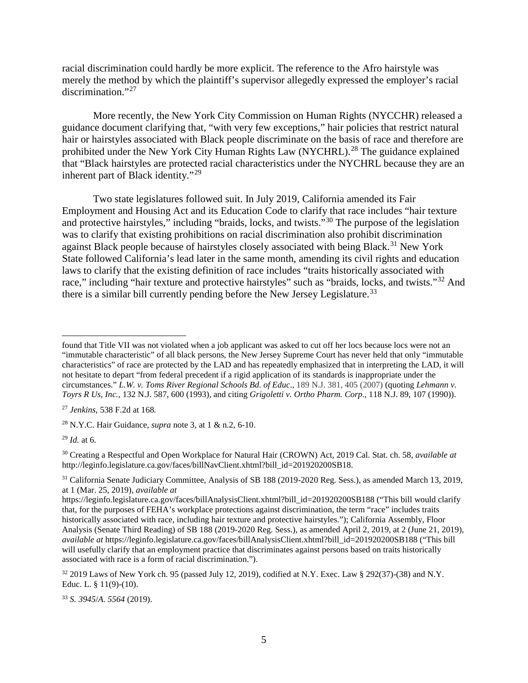racial discrimination could hardly be more explicit. The reference to the Afro hairstyle was merely the method by which the plaintiff's supervisor allegedly expressed the employer's racial discrimination."<sup>[27](#page-4-0)</sup>

More recently, the New York City Commission on Human Rights (NYCCHR) released a guidance document clarifying that, "with very few exceptions," hair policies that restrict natural hair or hairstyles associated with Black people discriminate on the basis of race and therefore are prohibited under the New York City Human Rights Law (NYCHRL).[28](#page-4-1) The guidance explained that "Black hairstyles are protected racial characteristics under the NYCHRL because they are an inherent part of Black identity."[29](#page-4-2)

Two state legislatures followed suit. In July 2019, California amended its Fair Employment and Housing Act and its Education Code to clarify that race includes "hair texture and protective hairstyles," including "braids, locks, and twists."<sup>[30](#page-4-3)</sup> The purpose of the legislation was to clarify that existing prohibitions on racial discrimination also prohibit discrimination against Black people because of hairstyles closely associated with being Black.<sup>[31](#page-4-4)</sup> New York State followed California's lead later in the same month, amending its civil rights and education laws to clarify that the existing definition of race includes "traits historically associated with race," including "hair texture and protective hairstyles" such as "braids, locks, and twists."<sup>[32](#page-4-5)</sup> And there is a similar bill currently pending before the New Jersey Legislature.<sup>[33](#page-4-6)</sup>

<span id="page-4-1"></span><sup>28</sup> N.Y.C. Hair Guidance, *supra* note 3, at 1 & n.2, 6-10.

<span id="page-4-2"></span> $^{29}$  *Id.* at 6.

 $\overline{a}$ 

<span id="page-4-6"></span><sup>33</sup> *S. 3945*/*A. 5564* (2019).

found that Title VII was not violated when a job applicant was asked to cut off her locs because locs were not an "immutable characteristic" of all black persons, the New Jersey Supreme Court has never held that only "immutable characteristics" of race are protected by the LAD and has repeatedly emphasized that in interpreting the LAD, it will not hesitate to depart "from federal precedent if a rigid application of its standards is inappropriate under the circumstances." *L.W. v. Toms River Regional Schools Bd. of Educ*., 189 N.J. 381, 405 (2007) (quoting *Lehmann v. Toyrs R Us, Inc.*, 132 N.J. 587, 600 (1993), and citing *Grigoletti v. Ortho Pharm. Corp*., 118 N.J. 89, 107 (1990)).

<span id="page-4-0"></span><sup>27</sup> *Jenkins*, 538 F.2d at 168*.*

<span id="page-4-3"></span><sup>30</sup> Creating a Respectful and Open Workplace for Natural Hair (CROWN) Act, 2019 Cal. Stat. ch. 58, *available at*  http://leginfo.legislature.ca.gov/faces/billNavClient.xhtml?bill\_id=201920200SB18.

<span id="page-4-4"></span><sup>31</sup> California Senate Judiciary Committee, Analysis of SB 188 (2019-2020 Reg. Sess.), as amended March 13, 2019, at 1 (Mar. 25, 2019), *available at*

https://leginfo.legislature.ca.gov/faces/billAnalysisClient.xhtml?bill\_id=201920200SB188 ("This bill would clarify that, for the purposes of FEHA's workplace protections against discrimination, the term "race" includes traits historically associated with race, including hair texture and protective hairstyles."); California Assembly, Floor Analysis (Senate Third Reading) of SB 188 (2019-2020 Reg. Sess.), as amended April 2, 2019, at 2 (June 21, 2019), *available at* https://leginfo.legislature.ca.gov/faces/billAnalysisClient.xhtml?bill\_id=201920200SB188 ("This bill will usefully clarify that an employment practice that discriminates against persons based on traits historically associated with race is a form of racial discrimination.").

<span id="page-4-5"></span><sup>32</sup> 2019 Laws of New York ch. 95 (passed July 12, 2019), codified at N.Y. Exec. Law § 292(37)-(38) and N.Y. Educ. L. § 11(9)-(10).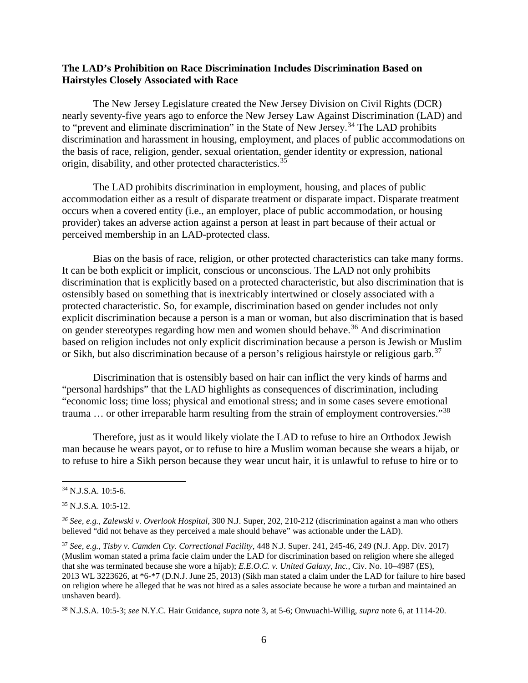## **The LAD's Prohibition on Race Discrimination Includes Discrimination Based on Hairstyles Closely Associated with Race**

The New Jersey Legislature created the New Jersey Division on Civil Rights (DCR) nearly seventy-five years ago to enforce the New Jersey Law Against Discrimination (LAD) and to "prevent and eliminate discrimination" in the State of New Jersey.<sup>[34](#page-5-0)</sup> The LAD prohibits discrimination and harassment in housing, employment, and places of public accommodations on the basis of race, religion, gender, sexual orientation, gender identity or expression, national origin, disability, and other protected characteristics.[35](#page-5-1)

The LAD prohibits discrimination in employment, housing, and places of public accommodation either as a result of disparate treatment or disparate impact. Disparate treatment occurs when a covered entity (i.e., an employer, place of public accommodation, or housing provider) takes an adverse action against a person at least in part because of their actual or perceived membership in an LAD-protected class.

Bias on the basis of race, religion, or other protected characteristics can take many forms. It can be both explicit or implicit, conscious or unconscious. The LAD not only prohibits discrimination that is explicitly based on a protected characteristic, but also discrimination that is ostensibly based on something that is inextricably intertwined or closely associated with a protected characteristic. So, for example, discrimination based on gender includes not only explicit discrimination because a person is a man or woman, but also discrimination that is based on gender stereotypes regarding how men and women should behave.[36](#page-5-2) And discrimination based on religion includes not only explicit discrimination because a person is Jewish or Muslim or Sikh, but also discrimination because of a person's religious hairstyle or religious garb.<sup>[37](#page-5-3)</sup>

Discrimination that is ostensibly based on hair can inflict the very kinds of harms and "personal hardships" that the LAD highlights as consequences of discrimination, including "economic loss; time loss; physical and emotional stress; and in some cases severe emotional trauma ... or other irreparable harm resulting from the strain of employment controversies."<sup>[38](#page-5-4)</sup>

Therefore, just as it would likely violate the LAD to refuse to hire an Orthodox Jewish man because he wears payot, or to refuse to hire a Muslim woman because she wears a hijab, or to refuse to hire a Sikh person because they wear uncut hair, it is unlawful to refuse to hire or to

 $\overline{a}$ 

<span id="page-5-0"></span><sup>34</sup> N.J.S.A. 10:5-6.

<span id="page-5-1"></span><sup>35</sup> N.J.S.A. 10:5-12.

<span id="page-5-2"></span>*<sup>36</sup> See, e.g.*, *Zalewski v. Overlook Hospital*, 300 N.J. Super, 202, 210-212 (discrimination against a man who others believed "did not behave as they perceived a male should behave" was actionable under the LAD).

<span id="page-5-3"></span><sup>37</sup> *See, e.g.*, *Tisby v. Camden Cty. Correctional Facility*, 448 N.J. Super. 241, 245-46, 249 (N.J. App. Div. 2017) (Muslim woman stated a prima facie claim under the LAD for discrimination based on religion where she alleged that she was terminated because she wore a hijab); *E.E.O.C. v. United Galaxy, Inc.*, Civ. No. 10–4987 (ES), 2013 WL 3223626, at \*6-\*7 (D.N.J. June 25, 2013) (Sikh man stated a claim under the LAD for failure to hire based on religion where he alleged that he was not hired as a sales associate because he wore a turban and maintained an unshaven beard).

<span id="page-5-4"></span><sup>38</sup> N.J.S.A. 10:5-3; *see* N.Y.C. Hair Guidance, *supra* note 3, at 5-6; Onwuachi-Willig, *supra* note 6, at 1114-20.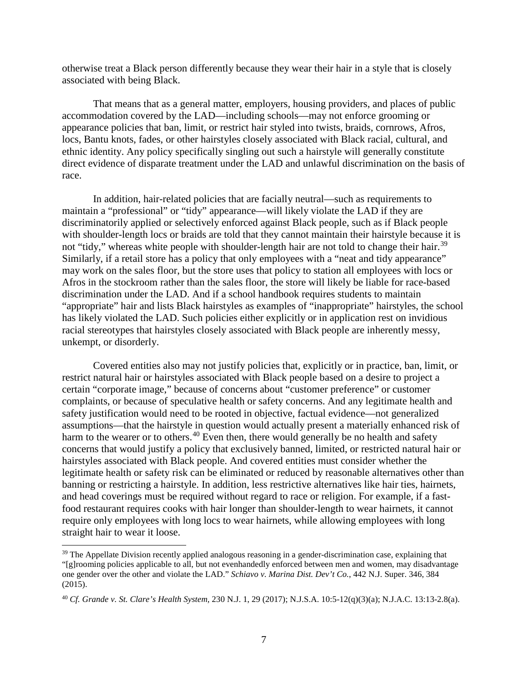otherwise treat a Black person differently because they wear their hair in a style that is closely associated with being Black.

That means that as a general matter, employers, housing providers, and places of public accommodation covered by the LAD—including schools—may not enforce grooming or appearance policies that ban, limit, or restrict hair styled into twists, braids, cornrows, Afros, locs, Bantu knots, fades, or other hairstyles closely associated with Black racial, cultural, and ethnic identity. Any policy specifically singling out such a hairstyle will generally constitute direct evidence of disparate treatment under the LAD and unlawful discrimination on the basis of race.

In addition, hair-related policies that are facially neutral—such as requirements to maintain a "professional" or "tidy" appearance—will likely violate the LAD if they are discriminatorily applied or selectively enforced against Black people, such as if Black people with shoulder-length locs or braids are told that they cannot maintain their hairstyle because it is not "tidy," whereas white people with shoulder-length hair are not told to change their hair.<sup>[39](#page-6-0)</sup> Similarly, if a retail store has a policy that only employees with a "neat and tidy appearance" may work on the sales floor, but the store uses that policy to station all employees with locs or Afros in the stockroom rather than the sales floor, the store will likely be liable for race-based discrimination under the LAD. And if a school handbook requires students to maintain "appropriate" hair and lists Black hairstyles as examples of "inappropriate" hairstyles, the school has likely violated the LAD. Such policies either explicitly or in application rest on invidious racial stereotypes that hairstyles closely associated with Black people are inherently messy, unkempt, or disorderly.

Covered entities also may not justify policies that, explicitly or in practice, ban, limit, or restrict natural hair or hairstyles associated with Black people based on a desire to project a certain "corporate image," because of concerns about "customer preference" or customer complaints, or because of speculative health or safety concerns. And any legitimate health and safety justification would need to be rooted in objective, factual evidence—not generalized assumptions—that the hairstyle in question would actually present a materially enhanced risk of harm to the wearer or to others.<sup>[40](#page-6-1)</sup> Even then, there would generally be no health and safety concerns that would justify a policy that exclusively banned, limited, or restricted natural hair or hairstyles associated with Black people. And covered entities must consider whether the legitimate health or safety risk can be eliminated or reduced by reasonable alternatives other than banning or restricting a hairstyle. In addition, less restrictive alternatives like hair ties, hairnets, and head coverings must be required without regard to race or religion. For example, if a fastfood restaurant requires cooks with hair longer than shoulder-length to wear hairnets, it cannot require only employees with long locs to wear hairnets, while allowing employees with long straight hair to wear it loose.

<span id="page-6-0"></span><sup>&</sup>lt;sup>39</sup> The Appellate Division recently applied analogous reasoning in a gender-discrimination case, explaining that "[g]rooming policies applicable to all, but not evenhandedly enforced between men and women, may disadvantage one gender over the other and violate the LAD." *Schiavo v. Marina Dist. Dev't Co.*, 442 N.J. Super. 346, 384 (2015).

<span id="page-6-1"></span><sup>40</sup> *Cf. Grande v. St. Clare's Health System,* 230 N.J. 1, 29 (2017); N.J.S.A. 10:5-12(q)(3)(a); N.J.A.C. 13:13-2.8(a).